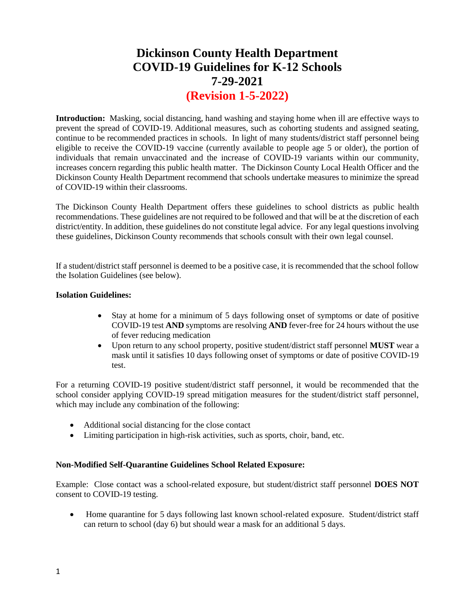# **Dickinson County Health Department COVID-19 Guidelines for K-12 Schools 7-29-2021 (Revision 1-5-2022)**

**Introduction:** Masking, social distancing, hand washing and staying home when ill are effective ways to prevent the spread of COVID-19. Additional measures, such as cohorting students and assigned seating, continue to be recommended practices in schools. In light of many students/district staff personnel being eligible to receive the COVID-19 vaccine (currently available to people age 5 or older), the portion of individuals that remain unvaccinated and the increase of COVID-19 variants within our community, increases concern regarding this public health matter. The Dickinson County Local Health Officer and the Dickinson County Health Department recommend that schools undertake measures to minimize the spread of COVID-19 within their classrooms.

The Dickinson County Health Department offers these guidelines to school districts as public health recommendations. These guidelines are not required to be followed and that will be at the discretion of each district/entity. In addition, these guidelines do not constitute legal advice. For any legal questions involving these guidelines, Dickinson County recommends that schools consult with their own legal counsel.

If a student/district staff personnel is deemed to be a positive case, it is recommended that the school follow the Isolation Guidelines (see below).

## **Isolation Guidelines:**

- Stay at home for a minimum of 5 days following onset of symptoms or date of positive COVID-19 test **AND** symptoms are resolving **AND** fever-free for 24 hours without the use of fever reducing medication
- Upon return to any school property, positive student/district staff personnel **MUST** wear a mask until it satisfies 10 days following onset of symptoms or date of positive COVID-19 test.

For a returning COVID-19 positive student/district staff personnel, it would be recommended that the school consider applying COVID-19 spread mitigation measures for the student/district staff personnel, which may include any combination of the following:

- Additional social distancing for the close contact
- Limiting participation in high-risk activities, such as sports, choir, band, etc.

## **Non-Modified Self-Quarantine Guidelines School Related Exposure:**

Example: Close contact was a school-related exposure, but student/district staff personnel **DOES NOT** consent to COVID-19 testing.

• Home quarantine for 5 days following last known school-related exposure. Student/district staff can return to school (day 6) but should wear a mask for an additional 5 days.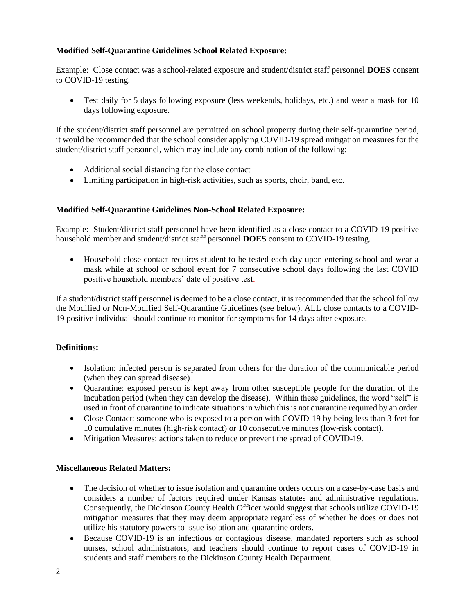# **Modified Self-Quarantine Guidelines School Related Exposure:**

Example:Close contact was a school-related exposure and student/district staff personnel **DOES** consent to COVID-19 testing.

• Test daily for 5 days following exposure (less weekends, holidays, etc.) and wear a mask for 10 days following exposure.

If the student/district staff personnel are permitted on school property during their self-quarantine period, it would be recommended that the school consider applying COVID-19 spread mitigation measures for the student/district staff personnel, which may include any combination of the following:

- Additional social distancing for the close contact
- Limiting participation in high-risk activities, such as sports, choir, band, etc.

## **Modified Self-Quarantine Guidelines Non-School Related Exposure:**

Example:Student/district staff personnel have been identified as a close contact to a COVID-19 positive household member and student/district staff personnel **DOES** consent to COVID-19 testing.

• Household close contact requires student to be tested each day upon entering school and wear a mask while at school or school event for 7 consecutive school days following the last COVID positive household members' date of positive test.

If a student/district staff personnel is deemed to be a close contact, it is recommended that the school follow the Modified or Non-Modified Self-Quarantine Guidelines (see below). ALL close contacts to a COVID-19 positive individual should continue to monitor for symptoms for 14 days after exposure.

## **Definitions:**

- Isolation: infected person is separated from others for the duration of the communicable period (when they can spread disease).
- Quarantine: exposed person is kept away from other susceptible people for the duration of the incubation period (when they can develop the disease). Within these guidelines, the word "self" is used in front of quarantine to indicate situations in which this is not quarantine required by an order.
- Close Contact: someone who is exposed to a person with COVID-19 by being less than 3 feet for 10 cumulative minutes (high-risk contact) or 10 consecutive minutes (low-risk contact).
- Mitigation Measures: actions taken to reduce or prevent the spread of COVID-19.

## **Miscellaneous Related Matters:**

- The decision of whether to issue isolation and quarantine orders occurs on a case-by-case basis and considers a number of factors required under Kansas statutes and administrative regulations. Consequently, the Dickinson County Health Officer would suggest that schools utilize COVID-19 mitigation measures that they may deem appropriate regardless of whether he does or does not utilize his statutory powers to issue isolation and quarantine orders.
- Because COVID-19 is an infectious or contagious disease, mandated reporters such as school nurses, school administrators, and teachers should continue to report cases of COVID-19 in students and staff members to the Dickinson County Health Department.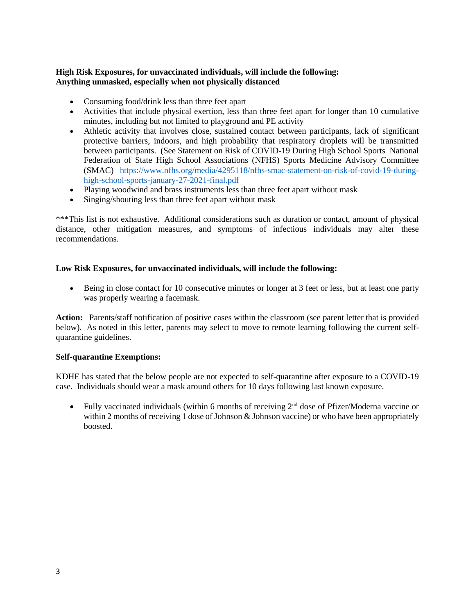# **High Risk Exposures, for unvaccinated individuals, will include the following: Anything unmasked, especially when not physically distanced**

- Consuming food/drink less than three feet apart
- Activities that include physical exertion, less than three feet apart for longer than 10 cumulative minutes, including but not limited to playground and PE activity
- Athletic activity that involves close, sustained contact between participants, lack of significant protective barriers, indoors, and high probability that respiratory droplets will be transmitted between participants. (See Statement on Risk of COVID-19 During High School Sports National Federation of State High School Associations (NFHS) Sports Medicine Advisory Committee (SMAC) [https://www.nfhs.org/media/4295118/nfhs-smac-statement-on-risk-of-covid-19-during](https://www.nfhs.org/media/4295118/nfhs-smac-statement-on-risk-of-covid-19-during-high-school-sports-january-27-2021-final.pdf)[high-school-sports-january-27-2021-final.pdf](https://www.nfhs.org/media/4295118/nfhs-smac-statement-on-risk-of-covid-19-during-high-school-sports-january-27-2021-final.pdf)
- Playing woodwind and brass instruments less than three feet apart without mask
- Singing/shouting less than three feet apart without mask

\*\*\*This list is not exhaustive. Additional considerations such as duration or contact, amount of physical distance, other mitigation measures, and symptoms of infectious individuals may alter these recommendations.

# **Low Risk Exposures, for unvaccinated individuals, will include the following:**

• Being in close contact for 10 consecutive minutes or longer at 3 feet or less, but at least one party was properly wearing a facemask.

**Action:** Parents/staff notification of positive cases within the classroom (see parent letter that is provided below). As noted in this letter, parents may select to move to remote learning following the current selfquarantine guidelines.

## **Self-quarantine Exemptions:**

KDHE has stated that the below people are not expected to self-quarantine after exposure to a COVID-19 case. Individuals should wear a mask around others for 10 days following last known exposure.

• Fully vaccinated individuals (within 6 months of receiving  $2<sup>nd</sup>$  dose of Pfizer/Moderna vaccine or within 2 months of receiving 1 dose of Johnson & Johnson vaccine) or who have been appropriately boosted.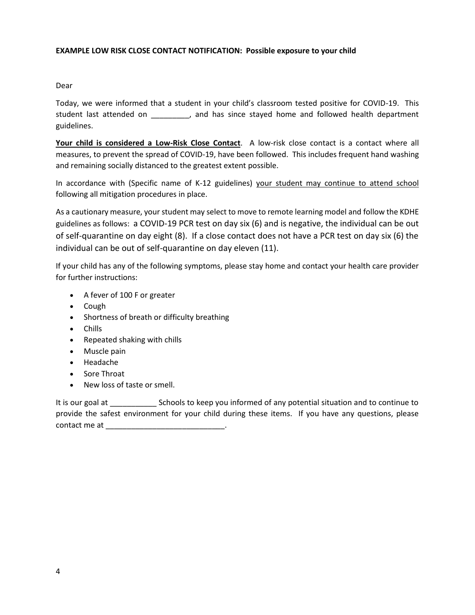## **EXAMPLE LOW RISK CLOSE CONTACT NOTIFICATION: Possible exposure to your child**

## Dear

Today, we were informed that a student in your child's classroom tested positive for COVID-19. This student last attended on \_\_\_\_\_\_\_\_\_, and has since stayed home and followed health department guidelines.

**Your child is considered a Low-Risk Close Contact**. A low-risk close contact is a contact where all measures, to prevent the spread of COVID-19, have been followed. This includes frequent hand washing and remaining socially distanced to the greatest extent possible.

In accordance with (Specific name of K-12 guidelines) your student may continue to attend school following all mitigation procedures in place.

As a cautionary measure, your student may select to move to remote learning model and follow the KDHE guidelines as follows: a COVID-19 PCR test on day six (6) and is negative, the individual can be out of self-quarantine on day eight (8). If a close contact does not have a PCR test on day six (6) the individual can be out of self-quarantine on day eleven (11).

If your child has any of the following symptoms, please stay home and contact your health care provider for further instructions:

- A fever of 100 F or greater
- Cough
- Shortness of breath or difficulty breathing
- Chills
- Repeated shaking with chills
- Muscle pain
- Headache
- Sore Throat
- New loss of taste or smell.

It is our goal at Schools to keep you informed of any potential situation and to continue to provide the safest environment for your child during these items. If you have any questions, please contact me at \_\_\_\_\_\_\_\_\_\_\_\_\_\_\_\_\_\_\_\_\_\_\_\_\_\_\_\_.